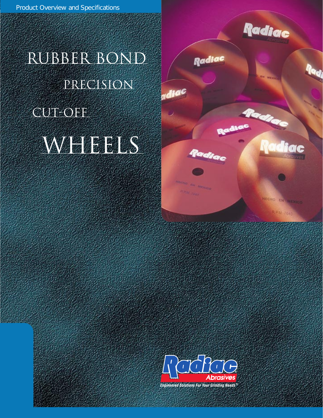

Radice

liac

HECHO EN MEXICO

**R.P.M 7640** 

**Radiac** 

la<sub>d)</sub>

Radiac

Radiac

en senaco

adiac

# rubber bond WHEELS precision CUT-OFE

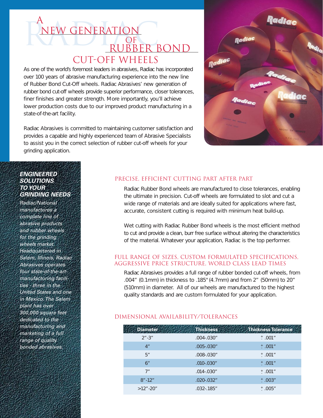# A<br>NEW GENERATION Cut-Off Wheels New Generation A **OF** RUBBER BOND

As one of the world's foremost leaders in abrasives, Radiac has incorporated over 100 years of abrasive manufacturing experience into the new line of Rubber Bond Cut-Off wheels. Radiac Abrasives' new generation of rubber bond cut-off wheels provide superior performance, closer tolerances, finer finishes and greater strength. More importantly, you'll achieve lower production costs due to our improved product manufacturing in a state-of-the-art facility.

Radiac Abrasives is committed to maintaining customer satisfaction and provides a capable and highly experienced team of Abrasive Specialists to assist you in the correct selection of rubber cut-off wheels for your grinding application.

## **ENGINEERED SOLUTIONS TO YOUR GRINDING NEEDS**

Radiac/National manufactures a complete line of abrasive products and rubber wheels for the grinding wheels market. Headquartered in Salem, Illinois, Radiac Abrasives operates four state-of-the-artmanufacturing facilities - three in the United States and one in Mexico. The Salem plant has over 300,000 square feet dedicated to the manufacturing and marketing of a full range of quality bonded abrasives.

# Precise, efficient cutting part after part

Radiac Rubber Bond wheels are manufactured to close tolerances, enabling the ultimate in precision. Cut-off wheels are formulated to slot and cut a wide range of materials and are ideally suited for applications where fast, accurate, consistent cutting is required with minimum heat build-up.

Wet cutting with Radiac Rubber Bond wheels is the most efficient method to cut and provide a clean, burr free surface without altering the characteristics of the material. Whatever your application, Radiac is the top performer.

## Full range of sizes, custom formulated specifications, AGGRESSIVE PRICE STRUCTURE, world class lead times

Radiac Abrasives provides a full range of rubber bonded cut-off wheels, from .004" (0.1mm) in thickness to .185" (4.7mm) and from 2" (50mm) to 20" (510mm) in diameter. All of our wheels are manufactured to the highest quality standards and are custom formulated for your application.

## Dimensional Availability/Tolerances

| <b>Thickness</b> | <b>Thickness Tolerance</b> |
|------------------|----------------------------|
| $.004 - .030"$   | $^+$ .001"                 |
| $.005 - .030"$   | $+001''$                   |
| $.008 - .030"$   | $+001''$                   |
| $.010 - .030"$   | $+001''$                   |
| $.014 - .030"$   | $+$ .001"                  |
| $.020 - .032"$   | $+003''$                   |
| $.032 - .185$ "  | $+005''$                   |
|                  |                            |

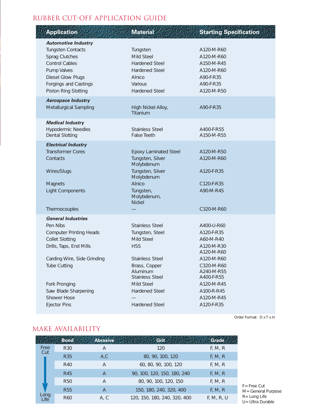# RUBBER CUT-OFF APPLICATION GUIDE

# **Application Material Material Starting Specification**

| <b>Automotive Industry</b>                        |                                      |                          |
|---------------------------------------------------|--------------------------------------|--------------------------|
| <b>Tungsten Contacts</b>                          | Tungsten<br>Mild Steel               | A120-M-R60               |
| Sprag Clutches<br><b>Control Cables</b>           | <b>Hardened Steel</b>                | A120-M-R60<br>A150-M-R45 |
| Pump Valves                                       | <b>Hardened Steel</b>                | A120-M-R60               |
| Diesel Glow Plugs                                 | Alnico                               | A90-F-R35                |
| Forgings and Castings                             | Various                              | A90-F-R35                |
| Piston Ring Slotting                              | <b>Hardened Steel</b>                | A120-M-R50               |
| <b>Aerospace Industry</b>                         |                                      |                          |
| Metallurgical Sampling                            | High Nickel Alloy,<br>Titanium       | A90-F-R35                |
| <b>Medical Industry</b>                           |                                      |                          |
| <b>Hypodermic Needles</b>                         | <b>Stainless Steel</b>               | A400-F-R55               |
| <b>Dental Slotting</b>                            | <b>False Teeth</b>                   | A150-M-R55               |
| <b>Electrical Industry</b>                        |                                      |                          |
| <b>Transformer Cores</b>                          | <b>Epoxy Laminated Steel</b>         | A120-M-R50               |
| Contacts                                          | Tungsten, Silver<br>Molybdenum       | A120-M-R60               |
| Wires/Slugs                                       | Tungsten, Silver                     | A120-F-R35               |
|                                                   | Molybdenum                           |                          |
| Magnets                                           | Alnico                               | C120-F-R35               |
| <b>Light Components</b>                           | Tungsten,<br>Molybdenum,             | A90-M-R45                |
|                                                   | <b>Nickel</b>                        |                          |
| Thermocouples                                     |                                      | C320-M-R60               |
| <b>General Industries</b>                         |                                      |                          |
| Pen Nibs                                          | <b>Stainless Steel</b>               | A400-U-R60               |
| <b>Computer Printing Heads</b>                    | Tungsten, Steel                      | A120-F-R35               |
| <b>Collet Slotting</b><br>Drills, Taps, End Mills | Mild Steel<br><b>HSS</b>             | A60-M-R40<br>A120-M-R30  |
|                                                   |                                      | A120-M-R60               |
| Carding Wire, Side Grinding                       | <b>Stainless Steel</b>               | A120-M-R60               |
| <b>Tube Cutting</b>                               | Brass, Copper                        | C320-M-R60               |
|                                                   | Aluminum                             | A240-M-R55               |
| Fork Pronging                                     | <b>Stainless Steel</b><br>Mild Steel | A400-F-R55<br>A120-M-R45 |
| Saw Blade Sharpening                              | <b>Hardened Steel</b>                | A100-R-R45               |
| Shower Hose                                       |                                      | A120-M-R45               |
| <b>Ejector Pins</b>                               | Hardened Steel                       | A120-F-R35               |
|                                                   |                                      |                          |

# make availability

|              | <b>Bond</b> | <b>Abrasive</b> | Grit                         | Grade      |
|--------------|-------------|-----------------|------------------------------|------------|
| Free<br>Cut  | <b>R30</b>  | Α               | 120                          | F, M, R    |
|              | <b>R35</b>  | A, C            | 80, 90, 100, 120             | F, M, R    |
|              | R40         | A               | 60, 80, 90, 100, 120         | F, M, R    |
|              | R45         | A               | 90, 100, 120, 150, 180, 240  | F, M, R    |
|              | <b>R50</b>  | A               | 80, 90, 100, 120, 150        | F, M, R    |
|              | <b>R55</b>  | $\overline{A}$  | 150, 180, 240, 320, 400      | F, M, R    |
| Long<br>Life | R60         | A, C            | 120, 150, 180, 240, 320, 400 | F, M, R, U |

F= Free Cut M= General Purpose R= Long Life U= Ultra Durable

Order Format: D x T x H